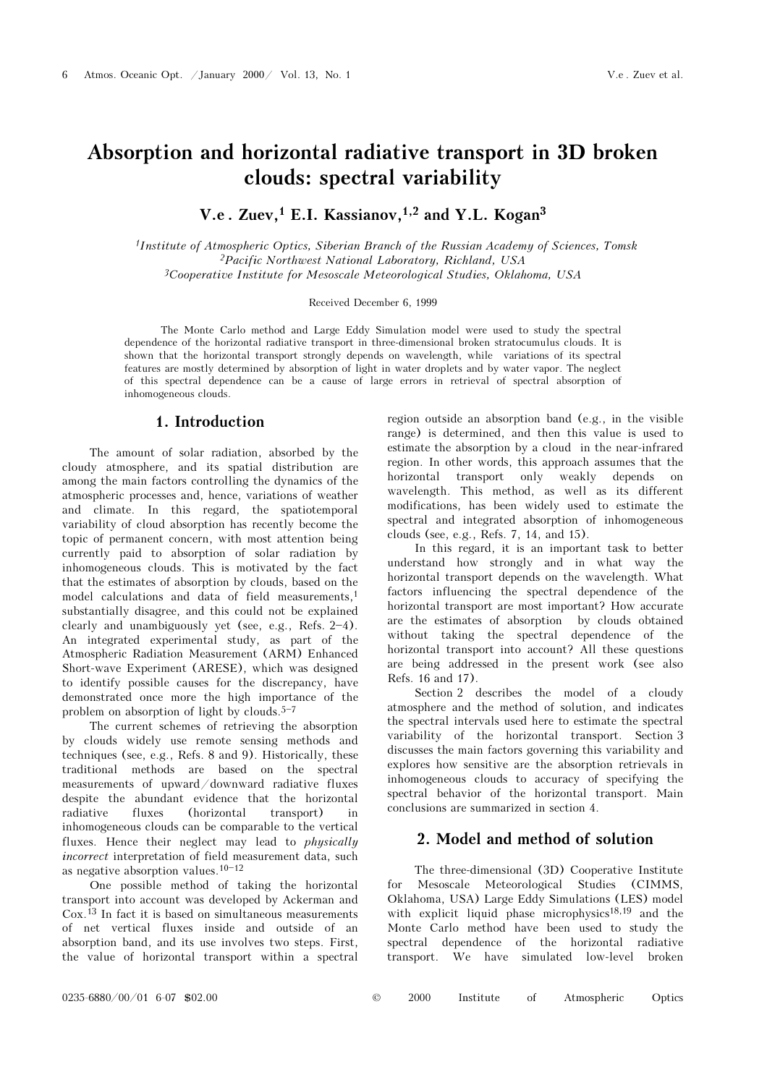# Absorption and horizontal radiative transport in 3D broken clouds: spectral variability

V.e. Zuev,<sup>1</sup> E.I. Kassianov,<sup>1,2</sup> and Y.L. Kogan<sup>3</sup>

<sup>1</sup>Institute of Atmospheric Optics, Siberian Branch of the Russian Academy of Sciences, Tomsk <sup>2</sup>Pacific Northwest National Laboratory, Richland, USA <sup>3</sup>Cooperative Institute for Mesoscale Meteorological Studies, Oklahoma, USA

### Received December 6, 1999

The Monte Carlo method and Large Eddy Simulation model were used to study the spectral dependence of the horizontal radiative transport in three-dimensional broken stratocumulus clouds. It is shown that the horizontal transport strongly depends on wavelength, while variations of its spectral features are mostly determined by absorption of light in water droplets and by water vapor. The neglect of this spectral dependence can be a cause of large errors in retrieval of spectral absorption of inhomogeneous clouds.

## 1. Introduction

The amount of solar radiation, absorbed by the cloudy atmosphere, and its spatial distribution are among the main factors controlling the dynamics of the atmospheric processes and, hence, variations of weather and climate. In this regard, the spatiotemporal variability of cloud absorption has recently become the topic of permanent concern, with most attention being currently paid to absorption of solar radiation by inhomogeneous clouds. This is motivated by the fact that the estimates of absorption by clouds, based on the model calculations and data of field measurements,<sup>1</sup> substantially disagree, and this could not be explained clearly and unambiguously yet (see, e.g., Refs.  $2-4$ ). An integrated experimental study, as part of the Atmospheric Radiation Measurement (ARM) Enhanced Short-wave Experiment (ARESE), which was designed to identify possible causes for the discrepancy, have demonstrated once more the high importance of the problem on absorption of light by clouds. $5-7$ 

The current schemes of retrieving the absorption by clouds widely use remote sensing methods and techniques (see, e.g., Refs. 8 and 9). Historically, these traditional methods are based on the spectral measurements of upward/downward radiative fluxes despite the abundant evidence that the horizontal radiative fluxes (horizontal transport) in inhomogeneous clouds can be comparable to the vertical fluxes. Hence their neglect may lead to physically incorrect interpretation of field measurement data, such as negative absorption values.  $10-12$ 

One possible method of taking the horizontal transport into account was developed by Ackerman and Cox.13 In fact it is based on simultaneous measurements of net vertical fluxes inside and outside of an absorption band, and its use involves two steps. First, the value of horizontal transport within a spectral region outside an absorption band (e.g., in the visible range) is determined, and then this value is used to estimate the absorption by a cloud in the near-infrared region. In other words, this approach assumes that the horizontal transport only weakly depends on wavelength. This method, as well as its different modifications, has been widely used to estimate the spectral and integrated absorption of inhomogeneous clouds (see, e.g., Refs. 7, 14, and 15).

In this regard, it is an important task to better understand how strongly and in what way the horizontal transport depends on the wavelength. What factors influencing the spectral dependence of the horizontal transport are most important? How accurate are the estimates of absorption by clouds obtained without taking the spectral dependence of the horizontal transport into account? All these questions are being addressed in the present work (see also Refs. 16 and 17).

Section 2 describes the model of a cloudy atmosphere and the method of solution, and indicates the spectral intervals used here to estimate the spectral variability of the horizontal transport. Section 3 discusses the main factors governing this variability and explores how sensitive are the absorption retrievals in inhomogeneous clouds to accuracy of specifying the spectral behavior of the horizontal transport. Main conclusions are summarized in section 4.

### 2. Model and method of solution

The three-dimensional (3D) Cooperative Institute for Mesoscale Meteorological Studies (CIMMS, Oklahoma, USA) Large Eddy Simulations (LES) model with explicit liquid phase microphysics18,19 and the Monte Carlo method have been used to study the spectral dependence of the horizontal radiative transport. We have simulated low-level broken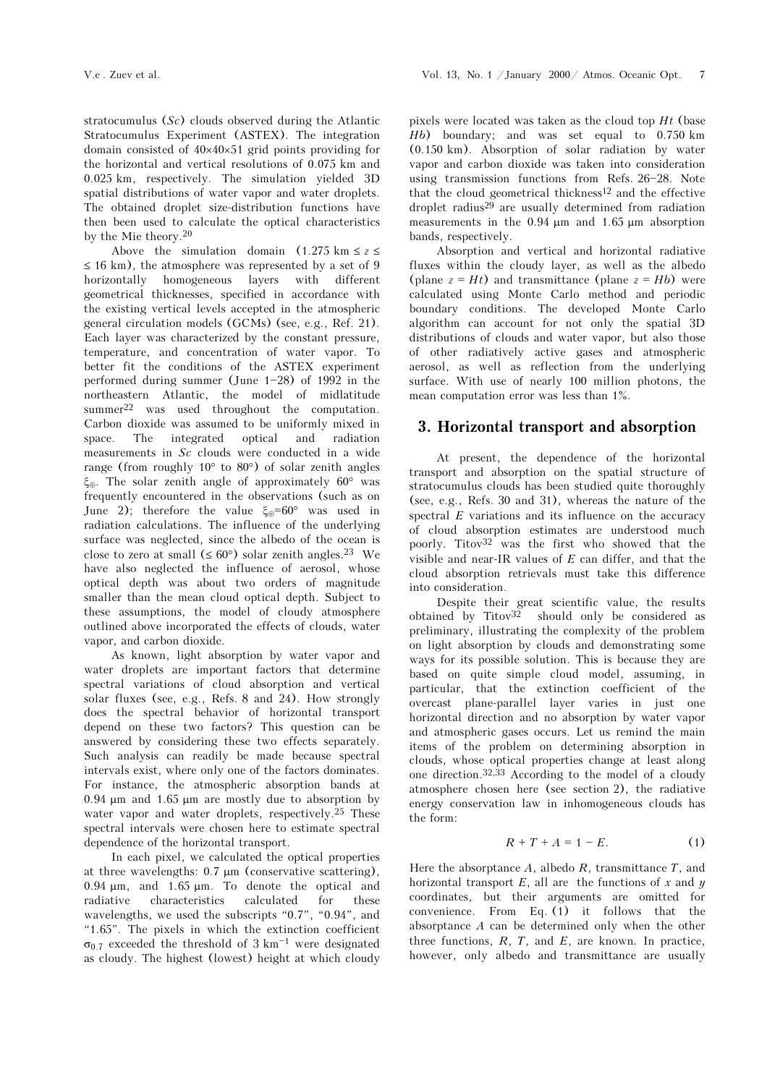stratocumulus (Sc) clouds observed during the Atlantic Stratocumulus Experiment (ASTEX). The integration domain consisted of 40×40×51 grid points providing for the horizontal and vertical resolutions of 0.075 km and 0.025 km, respectively. The simulation yielded 3D spatial distributions of water vapor and water droplets. The obtained droplet size-distribution functions have then been used to calculate the optical characteristics by the Mie theory.<sup>20</sup>

Above the simulation domain  $(1.275 \text{ km} \le z \le$  $\leq$  16 km), the atmosphere was represented by a set of 9 horizontally homogeneous layers with different geometrical thicknesses, specified in accordance with the existing vertical levels accepted in the atmospheric general circulation models (GCMs) (see, e.g., Ref. 21). Each layer was characterized by the constant pressure, temperature, and concentration of water vapor. To better fit the conditions of the ASTEX experiment performed during summer (June  $1-28$ ) of 1992 in the northeastern Atlantic, the model of midlatitude summer<sup>22</sup> was used throughout the computation. Carbon dioxide was assumed to be uniformly mixed in space. The integrated optical and radiation measurements in Sc clouds were conducted in a wide range (from roughly 10° to 80°) of solar zenith angles ξ⊕. The solar zenith angle of approximately 60° was frequently encountered in the observations (such as on June 2); therefore the value  $\xi_{\oplus} = 60^{\circ}$  was used in radiation calculations. The influence of the underlying surface was neglected, since the albedo of the ocean is close to zero at small  $(\leq 60^{\circ})$  solar zenith angles.<sup>23</sup> We have also neglected the influence of aerosol, whose optical depth was about two orders of magnitude smaller than the mean cloud optical depth. Subject to these assumptions, the model of cloudy atmosphere outlined above incorporated the effects of clouds, water vapor, and carbon dioxide.

As known, light absorption by water vapor and water droplets are important factors that determine spectral variations of cloud absorption and vertical solar fluxes (see, e.g., Refs. 8 and 24). How strongly does the spectral behavior of horizontal transport depend on these two factors? This question can be answered by considering these two effects separately. Such analysis can readily be made because spectral intervals exist, where only one of the factors dominates. For instance, the atmospheric absorption bands at 0.94 μm and 1.65 μm are mostly due to absorption by water vapor and water droplets, respectively.<sup>25</sup> These spectral intervals were chosen here to estimate spectral dependence of the horizontal transport.

In each pixel, we calculated the optical properties at three wavelengths: 0.7 μm (conservative scattering), 0.94 μm, and 1.65 μm. To denote the optical and radiative characteristics calculated for these wavelengths, we used the subscripts  $"0.7"$ ,  $"0.94"$ , and " $1.65$ ". The pixels in which the extinction coefficient  $\sigma_{0,7}$  exceeded the threshold of 3 km<sup>-1</sup> were designated as cloudy. The highest (lowest) height at which cloudy pixels were located was taken as the cloud top  $Ht$  (base Hb) boundary; and was set equal to 0.750 km (0.150 km). Absorption of solar radiation by water vapor and carbon dioxide was taken into consideration using transmission functions from Refs.  $26-28$ . Note that the cloud geometrical thickness12 and the effective droplet radius29 are usually determined from radiation measurements in the 0.94 μm and 1.65 μm absorption bands, respectively.

Absorption and vertical and horizontal radiative fluxes within the cloudy layer, as well as the albedo (plane  $z = Ht$ ) and transmittance (plane  $z = Hb$ ) were calculated using Monte Carlo method and periodic boundary conditions. The developed Monte Carlo algorithm can account for not only the spatial 3D distributions of clouds and water vapor, but also those of other radiatively active gases and atmospheric aerosol, as well as reflection from the underlying surface. With use of nearly 100 million photons, the mean computation error was less than 1%.

# 3. Horizontal transport and absorption

At present, the dependence of the horizontal transport and absorption on the spatial structure of stratocumulus clouds has been studied quite thoroughly (see, e.g., Refs. 30 and 31), whereas the nature of the spectral  $E$  variations and its influence on the accuracy of cloud absorption estimates are understood much poorly. Titov32 was the first who showed that the visible and near-IR values of  $E$  can differ, and that the cloud absorption retrievals must take this difference into consideration.

Despite their great scientific value, the results obtained by  $Titov<sup>32</sup>$  should only be considered as preliminary, illustrating the complexity of the problem on light absorption by clouds and demonstrating some ways for its possible solution. This is because they are based on quite simple cloud model, assuming, in particular, that the extinction coefficient of the overcast plane-parallel layer varies in just one horizontal direction and no absorption by water vapor and atmospheric gases occurs. Let us remind the main items of the problem on determining absorption in clouds, whose optical properties change at least along one direction.32,33 According to the model of a cloudy atmosphere chosen here (see section 2), the radiative energy conservation law in inhomogeneous clouds has the form:

$$
R + T + A = 1 - E. \tag{1}
$$

Here the absorptance  $A$ , albedo  $R$ , transmittance  $T$ , and horizontal transport  $E$ , all are the functions of x and y coordinates, but their arguments are omitted for convenience. From Eq. (1) it follows that the absorptance A can be determined only when the other three functions,  $R$ ,  $T$ , and  $E$ , are known. In practice, however, only albedo and transmittance are usually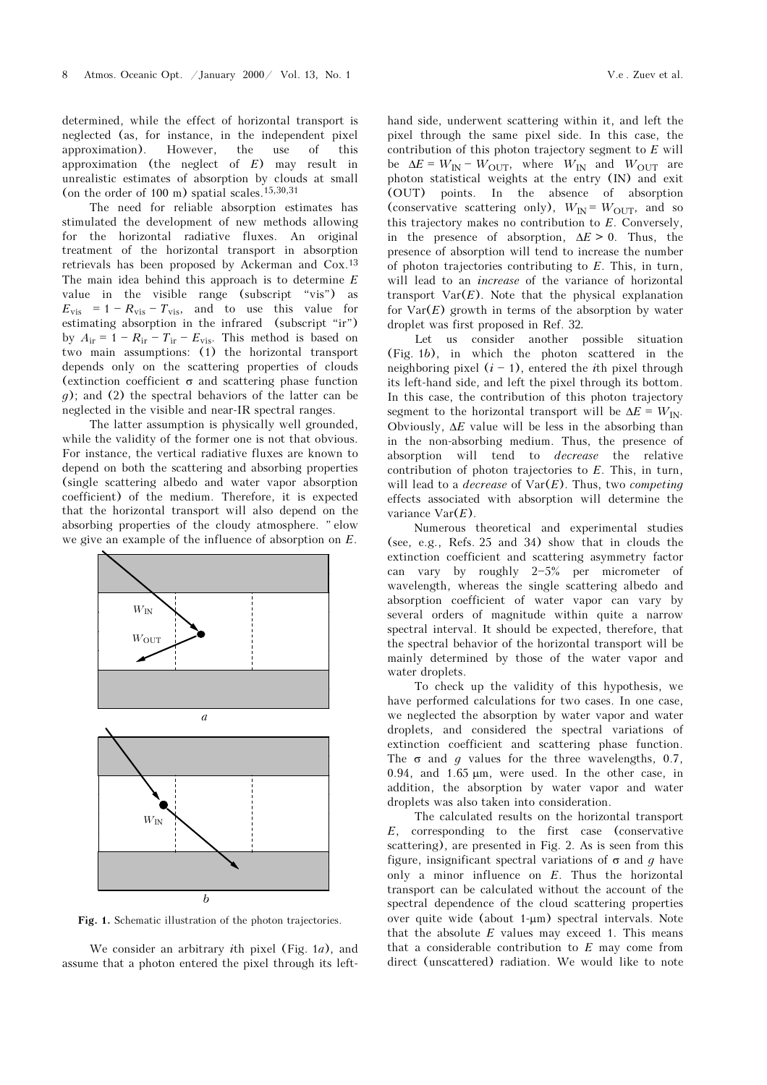determined, while the effect of horizontal transport is neglected (as, for instance, in the independent pixel approximation). However, the use of this approximation (the neglect of  $E$ ) may result in unrealistic estimates of absorption by clouds at small (on the order of 100 m) spatial scales.<sup>15,30,31</sup>

The need for reliable absorption estimates has stimulated the development of new methods allowing for the horizontal radiative fluxes. An original treatment of the horizontal transport in absorption retrievals has been proposed by Ackerman and Cox.<sup>13</sup> The main idea behind this approach is to determine  $E$ value in the visible range (subscript "vis") as  $E_{\text{vis}} = 1 - R_{\text{vis}} - T_{\text{vis}}$ , and to use this value for estimating absorption in the infrared  $(subscript 'ir")$ by  $A_{ir} = 1 - R_{ir} - T_{ir} - E_{vis}$ . This method is based on two main assumptions: (1) the horizontal transport depends only on the scattering properties of clouds (extinction coefficient  $\sigma$  and scattering phase function g); and (2) the spectral behaviors of the latter can be neglected in the visible and near-IR spectral ranges.

The latter assumption is physically well grounded, while the validity of the former one is not that obvious. For instance, the vertical radiative fluxes are known to depend on both the scattering and absorbing properties (single scattering albedo and water vapor absorption coefficient) of the medium. Therefore, it is expected that the horizontal transport will also depend on the absorbing properties of the cloudy atmosphere. "elow we give an example of the influence of absorption on E.



Fig. 1. Schematic illustration of the photon trajectories.

We consider an arbitrary *i*th pixel (Fig. 1a), and assume that a photon entered the pixel through its lefthand side, underwent scattering within it, and left the pixel through the same pixel side. In this case, the contribution of this photon trajectory segment to  $E$  will be  $\Delta E = W_{IN} - W_{OUT}$ , where  $W_{IN}$  and  $W_{OUT}$  are photon statistical weights at the entry (IN) and exit (OUT) points. In the absence of absorption (conservative scattering only),  $W_{\text{IN}} = W_{\text{OUT}}$ , and so this trajectory makes no contribution to E. Conversely, in the presence of absorption,  $\Delta E > 0$ . Thus, the presence of absorption will tend to increase the number of photon trajectories contributing to E. This, in turn, will lead to an *increase* of the variance of horizontal transport  $Var(E)$ . Note that the physical explanation for  $Var(E)$  growth in terms of the absorption by water droplet was first proposed in Ref. 32.

Let us consider another possible situation (Fig. 1b), in which the photon scattered in the neighboring pixel  $(i - 1)$ , entered the *i*th pixel through its left-hand side, and left the pixel through its bottom. In this case, the contribution of this photon trajectory segment to the horizontal transport will be  $\Delta E = W_{\text{IN}}$ . Obviously,  $\Delta E$  value will be less in the absorbing than in the non-absorbing medium. Thus, the presence of absorption will tend to decrease the relative contribution of photon trajectories to E. This, in turn, will lead to a *decrease* of  $Var(E)$ . Thus, two *competing* effects associated with absorption will determine the variance  $Var(E)$ .

Numerous theoretical and experimental studies (see, e.g., Refs. 25 and 34) show that in clouds the extinction coefficient and scattering asymmetry factor can vary by roughly  $2-5%$  per micrometer of wavelength, whereas the single scattering albedo and absorption coefficient of water vapor can vary by several orders of magnitude within quite a narrow spectral interval. It should be expected, therefore, that the spectral behavior of the horizontal transport will be mainly determined by those of the water vapor and water droplets.

To check up the validity of this hypothesis, we have performed calculations for two cases. In one case, we neglected the absorption by water vapor and water droplets, and considered the spectral variations of extinction coefficient and scattering phase function. The  $\sigma$  and q values for the three wavelengths, 0.7, 0.94, and 1.65 μm, were used. In the other case, in addition, the absorption by water vapor and water droplets was also taken into consideration.

The calculated results on the horizontal transport E, corresponding to the first case (conservative scattering), are presented in Fig. 2. As is seen from this figure, insignificant spectral variations of  $\sigma$  and q have only a minor influence on  $E$ . Thus the horizontal transport can be calculated without the account of the spectral dependence of the cloud scattering properties over quite wide (about 1-μm) spectral intervals. Note that the absolute  $E$  values may exceed 1. This means that a considerable contribution to  $E$  may come from direct (unscattered) radiation. We would like to note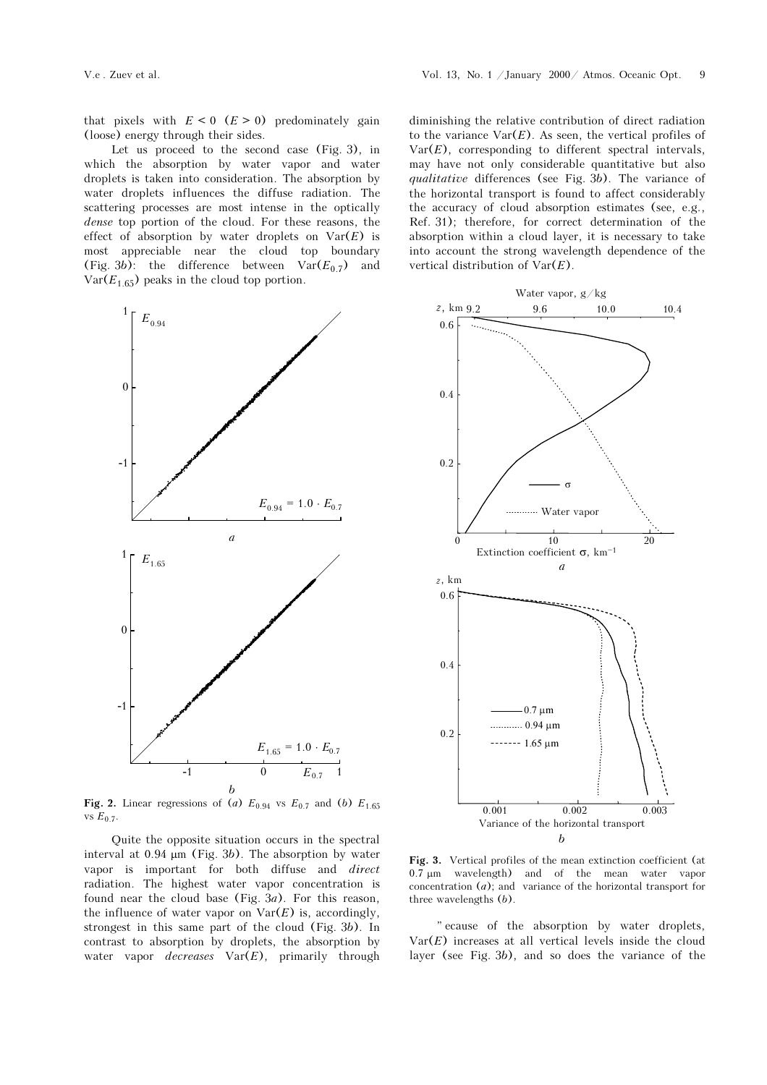that pixels with  $E < 0$   $(E > 0)$  predominately gain (loose) energy through their sides.

Let us proceed to the second case (Fig. 3), in which the absorption by water vapor and water droplets is taken into consideration. The absorption by water droplets influences the diffuse radiation. The scattering processes are most intense in the optically dense top portion of the cloud. For these reasons, the effect of absorption by water droplets on  $Var(E)$  is most appreciable near the cloud top boundary (Fig. 3b): the difference between  $Var(E_{0.7})$  and  $Var(E_{1.65})$  peaks in the cloud top portion.



Fig. 2. Linear regressions of (a)  $E_{0.94}$  vs  $E_{0.7}$  and (b)  $E_{1.65}$ vs  $E_{0.7}$ 

Quite the opposite situation occurs in the spectral interval at  $0.94 \mu m$  (Fig. 3b). The absorption by water vapor is important for both diffuse and direct radiation. The highest water vapor concentration is found near the cloud base (Fig.  $3a$ ). For this reason, the influence of water vapor on  $\text{Var}(E)$  is, accordingly, strongest in this same part of the cloud (Fig. 3b). In contrast to absorption by droplets, the absorption by water vapor *decreases*  $Var(E)$ , primarily through diminishing the relative contribution of direct radiation to the variance  $Var(E)$ . As seen, the vertical profiles of  $Var(E)$ , corresponding to different spectral intervals, may have not only considerable quantitative but also qualitative differences (see Fig. 3b). The variance of the horizontal transport is found to affect considerably the accuracy of cloud absorption estimates (see, e.g., Ref. 31); therefore, for correct determination of the absorption within a cloud layer, it is necessary to take into account the strong wavelength dependence of the vertical distribution of  $Var(E)$ .



Fig. 3. Vertical profiles of the mean extinction coefficient (at 0.7 μm wavelength) and of the mean water vapor concentration  $(a)$ ; and variance of the horizontal transport for three wavelengths (b).

" ecause of the absorption by water droplets,  $Var(E)$  increases at all vertical levels inside the cloud layer (see Fig. 3b), and so does the variance of the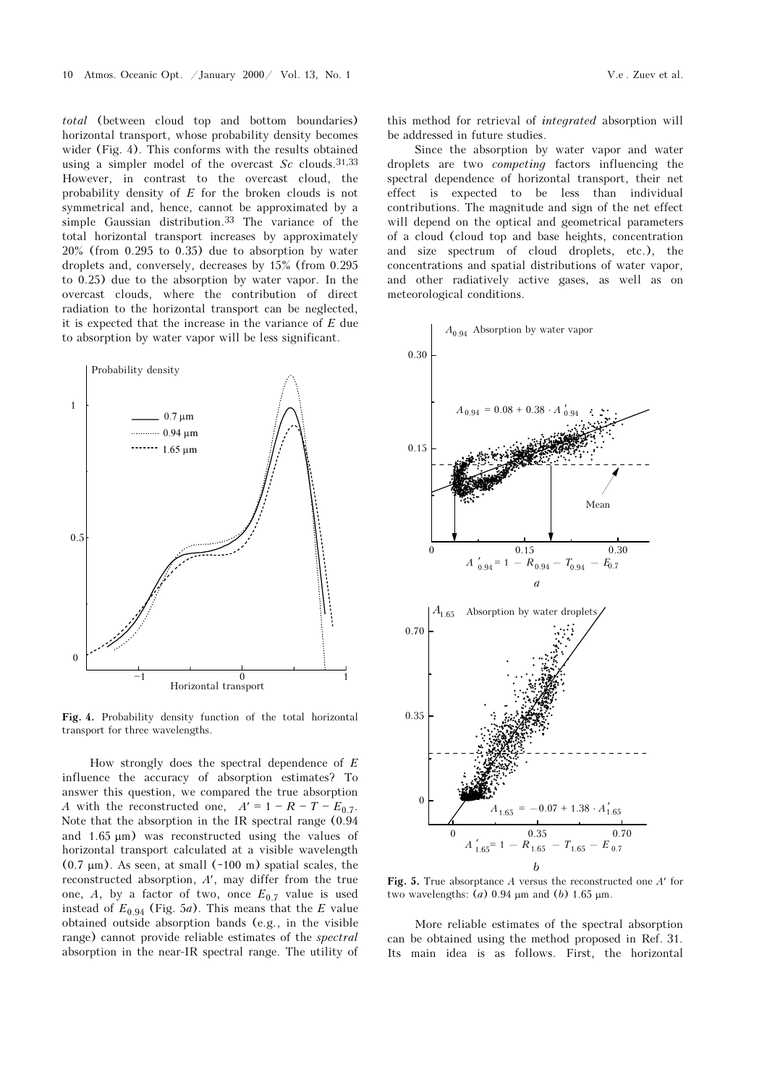total (between cloud top and bottom boundaries) horizontal transport, whose probability density becomes wider (Fig. 4). This conforms with the results obtained using a simpler model of the overcast  $Sc$  clouds.<sup>31,33</sup> However, in contrast to the overcast cloud, the probability density of E for the broken clouds is not symmetrical and, hence, cannot be approximated by a simple Gaussian distribution.<sup>33</sup> The variance of the total horizontal transport increases by approximately 20% (from 0.295 to 0.35) due to absorption by water droplets and, conversely, decreases by 15% (from 0.295 to 0.25) due to the absorption by water vapor. In the overcast clouds, where the contribution of direct radiation to the horizontal transport can be neglected, it is expected that the increase in the variance of  $E$  due to absorption by water vapor will be less significant.



Fig. 4. Probability density function of the total horizontal transport for three wavelengths.

How strongly does the spectral dependence of  $E$ influence the accuracy of absorption estimates? To answer this question, we compared the true absorption A with the reconstructed one,  $A' = 1 - R - T - E_{0.7}$ . Note that the absorption in the IR spectral range (0.94 and 1.65 μm) was reconstructed using the values of horizontal transport calculated at a visible wavelength  $(0.7 \mu m)$ . As seen, at small  $(-100 \text{ m})$  spatial scales, the reconstructed absorption, A′, may differ from the true one, A, by a factor of two, once  $E_{0.7}$  value is used instead of  $E_{0.94}$  (Fig. 5*a*). This means that the *E* value obtained outside absorption bands (e.g., in the visible range) cannot provide reliable estimates of the spectral absorption in the near-IR spectral range. The utility of this method for retrieval of integrated absorption will be addressed in future studies.

Since the absorption by water vapor and water droplets are two competing factors influencing the spectral dependence of horizontal transport, their net effect is expected to be less than individual contributions. The magnitude and sign of the net effect will depend on the optical and geometrical parameters of a cloud (cloud top and base heights, concentration and size spectrum of cloud droplets, etc.), the concentrations and spatial distributions of water vapor, and other radiatively active gases, as well as on meteorological conditions.



Fig. 5. True absorptance A versus the reconstructed one  $A'$  for two wavelengths:  $(a)$  0.94 μm and  $(b)$  1.65 μm.

More reliable estimates of the spectral absorption can be obtained using the method proposed in Ref. 31. Its main idea is as follows. First, the horizontal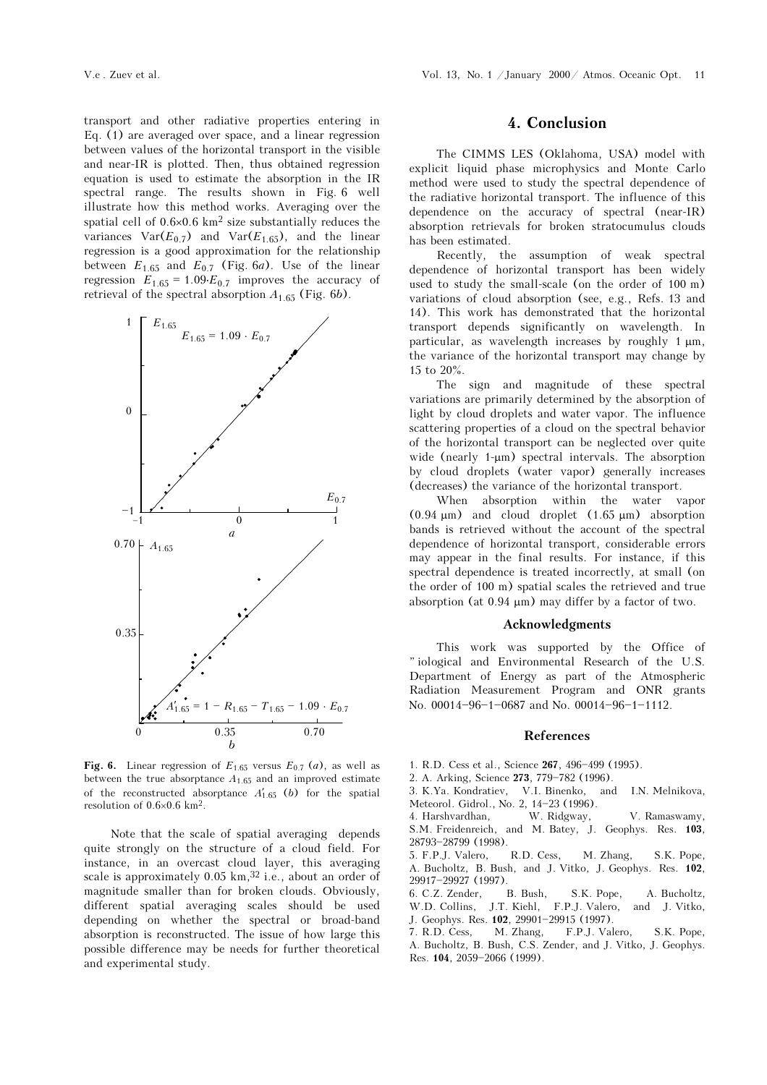transport and other radiative properties entering in Eq. (1) are averaged over space, and a linear regression between values of the horizontal transport in the visible and near-IR is plotted. Then, thus obtained regression equation is used to estimate the absorption in the IR spectral range. The results shown in Fig. 6 well illustrate how this method works. Averaging over the spatial cell of 0.6×0.6 km2 size substantially reduces the variances  $Var(E_{0,7})$  and  $Var(E_{1,65})$ , and the linear regression is a good approximation for the relationship between  $E_{1.65}$  and  $E_{0.7}$  (Fig. 6*a*). Use of the linear regression  $E_{1.65} = 1.09 \cdot E_{0.7}$  improves the accuracy of retrieval of the spectral absorption  $A_{1.65}$  (Fig. 6b).



Fig. 6. Linear regression of  $E_{1.65}$  versus  $E_{0.7}$  (*a*), as well as between the true absorptance  $A_{1.65}$  and an improved estimate of the reconstructed absorptance  $A'_{1,65}$  (b) for the spatial resolution of  $0.6\times0.6$  km<sup>2</sup>.

Note that the scale of spatial averaging depends quite strongly on the structure of a cloud field. For instance, in an overcast cloud layer, this averaging scale is approximately  $0.05 \text{ km}$ ,  $32$  i.e., about an order of magnitude smaller than for broken clouds. Obviously, different spatial averaging scales should be used depending on whether the spectral or broad-band absorption is reconstructed. The issue of how large this possible difference may be needs for further theoretical and experimental study.

### 4. Conclusion

The CIMMS LES (Oklahoma, USA) model with explicit liquid phase microphysics and Monte Carlo method were used to study the spectral dependence of the radiative horizontal transport. The influence of this dependence on the accuracy of spectral (near-IR) absorption retrievals for broken stratocumulus clouds has been estimated.

Recently, the assumption of weak spectral dependence of horizontal transport has been widely used to study the small-scale (on the order of 100 m) variations of cloud absorption (see, e.g., Refs. 13 and 14). This work has demonstrated that the horizontal transport depends significantly on wavelength. In particular, as wavelength increases by roughly 1 μm, the variance of the horizontal transport may change by 15 to 20%.

The sign and magnitude of these spectral variations are primarily determined by the absorption of light by cloud droplets and water vapor. The influence scattering properties of a cloud on the spectral behavior of the horizontal transport can be neglected over quite wide (nearly 1-μm) spectral intervals. The absorption by cloud droplets (water vapor) generally increases (decreases) the variance of the horizontal transport.

When absorption within the water vapor  $(0.94 \mu m)$  and cloud droplet  $(1.65 \mu m)$  absorption bands is retrieved without the account of the spectral dependence of horizontal transport, considerable errors may appear in the final results. For instance, if this spectral dependence is treated incorrectly, at small (on the order of 100 m) spatial scales the retrieved and true absorption (at 0.94 μm) may differ by a factor of two.

### Acknowledgments

This work was supported by the Office of "iological and Environmental Research of the U.S. Department of Energy as part of the Atmospheric Radiation Measurement Program and ONR grants No.  $00014 - 96 - 1 - 0687$  and No.  $00014 - 96 - 1 - 1112$ .

#### References

- 1. R.D. Cess et al., Science 267, 496-499 (1995).
- 
- 2. A. Arking, Science 273, 779-782 (1996).<br>3. K.Ya. Kondratiev, V.I. Binenko, and 3. K.Ya. Kondratiev, V.I. Binenko, and I.N. Melnikova, Meteorol. Gidrol., No. 2, 14-23 (1996).<br>4. Harshvardhan, W. Ridgway,
- 4. Harshvardhan, W. Ridgway, V. Ramaswamy, S.M. Freidenreich, and M. Batey, J. Geophys. Res. 103, 28793-28799 (1998).
- 5. F.P.J. Valero, R.D. Cess, M. Zhang, S.K. Pope, A. Bucholtz, B. Bush, and J. Vitko, J. Geophys. Res. 102, 29917-29927 (1997).
- 6. C.Z. Zender, B. Bush, S.K. Pope, A. Bucholtz, W.D. Collins, J.T. Kiehl, F.P.J. Valero, and J. Vitko,
- J. Geophys. Res. **102**, 29901-29915 (1997).<br>7. R.D. Cess, M. Zhang, F.P.J. Val
- F.P.J. Valero, S.K. Pope, A. Bucholtz, B. Bush, C.S. Zender, and J. Vitko, J. Geophys. Res. 104, 2059-2066 (1999).